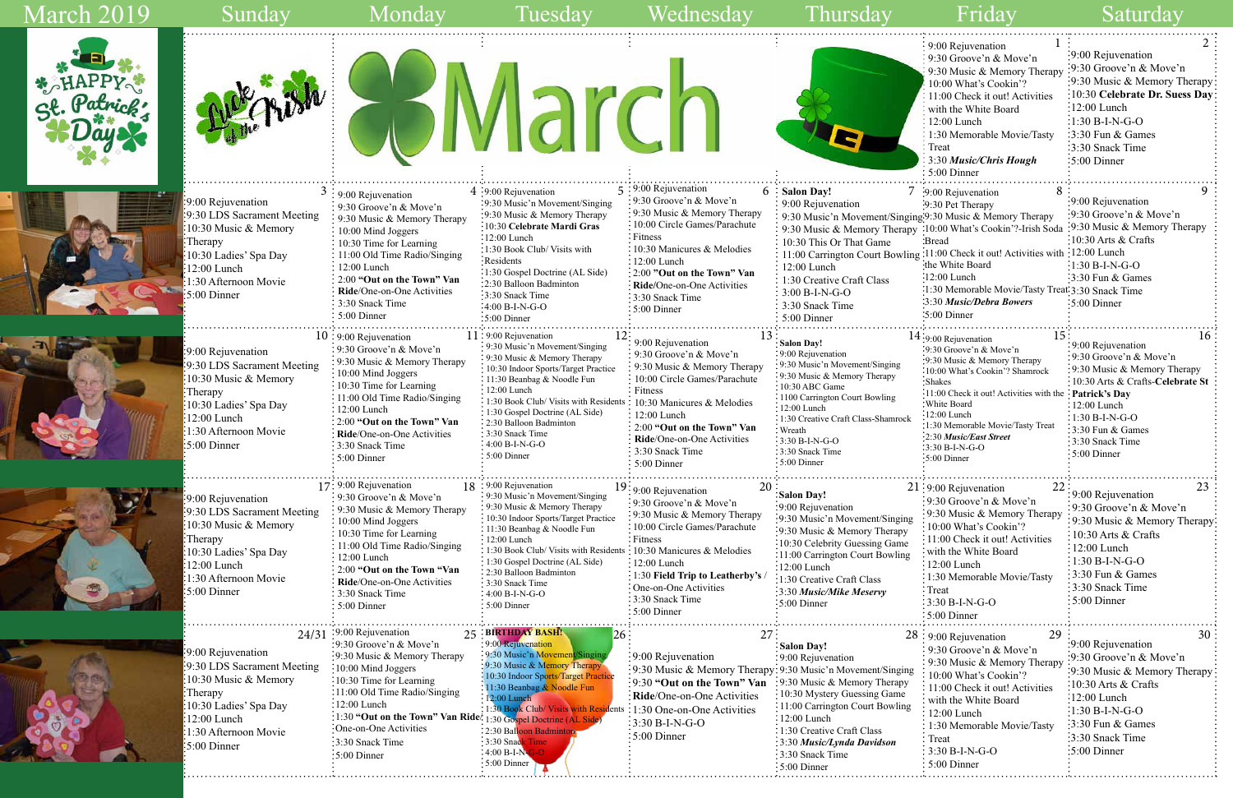

|     | $\bf{l}$<br>9:00 Rejuvenation                           |                                  |
|-----|---------------------------------------------------------|----------------------------------|
|     | 9:30 Groove'n & Move'n                                  | 9:00 Rejuvenation                |
|     | 9:30 Music & Memory Therapy                             | 9:30 Groove'n & Move'n           |
|     | 10:00 What's Cookin'?                                   | 9:30 Music & Memory Therapy      |
|     | 11:00 Check it out! Activities                          | 10:30 Celebrate Dr. Suess Day    |
|     | with the White Board                                    | 12:00 Lunch                      |
|     | 12:00 Lunch                                             | $1:30 B-I-N-G-O$                 |
|     | 1:30 Memorable Movie/Tasty                              | 3:30 Fun & Games                 |
|     | Treat                                                   | 3:30 Snack Time                  |
|     | 3:30 Music/Chris Hough                                  | 5:00 Dinner                      |
|     | 5:00 Dinner                                             |                                  |
|     | 8<br>7 :9:00 Rejuvenation                               | 9                                |
|     | :9:30 Pet Therapy                                       | 9:00 Rejuvenation                |
|     | ging.9:30 Music & Memory Therapy                        | :9:30 Groove'n & Move'n          |
| apy | :10:00 What's Cookin'?-Irish Soda                       | 9:30 Music & Memory Therapy      |
|     | :Bread                                                  | 10:30 Arts & Crafts              |
|     | ling: 11:00 Check it out! Activities with : 12:00 Lunch |                                  |
|     | the White Board                                         | $1:30 B-I-N-G-O$                 |
|     | :12:00 Lunch                                            | 3:30 Fun & Games                 |
|     | 1:30 Memorable Movie/Tasty Treat: 3:30 Snack Time       |                                  |
|     | :3:30 Music/Debra Bowers                                | $:5:00$ Dinner                   |
|     | $\cdot 5:00$ Dinner                                     |                                  |
|     |                                                         |                                  |
|     | 15<br>14:9:00 Rejuvenation                              | 16                               |
|     | 9:30 Groove'n & Move'n                                  | 9:00 Rejuvenation                |
|     | 9:30 Music & Memory Therapy                             | 9:30 Groove'n & Move'n           |
|     | 10:00 What's Cookin'? Shamrock                          | 9:30 Music & Memory Therapy      |
|     | <b>Shakes</b>                                           | 10:30 Arts & Crafts-Celebrate St |
|     | 11:00 Check it out! Activities with the                 | <b>Patrick's Day</b>             |
|     | White Board<br>$-12:00$ Lunch                           | 12:00 Lunch                      |
| сk  | :1:30 Memorable Movie/Tasty Treat                       | $1:30 B-I-N-G-O$                 |
|     | 2:30 Music/East Street                                  | 3:30 Fun & Games                 |
|     | 3:30 B-I-N-G-O                                          | 3:30 Snack Time                  |
|     | 5:00 Dinner                                             | 5:00 Dinner                      |
|     |                                                         |                                  |
|     | 22<br>21:9:00 Rejuvenation                              | 23                               |
|     | 9:30 Groove'n & Move'n                                  | 9:00 Rejuvenation                |
|     | 9:30 Music & Memory Therapy                             | 9:30 Groove'n & Move'n           |
| ng  | 10:00 What's Cookin'?                                   | 9:30 Music & Memory Therapy      |
| y   | 11:00 Check it out! Activities                          | 10:30 Arts & Crafts              |
| e   | with the White Board                                    | 12:00 Lunch                      |
| ıg  |                                                         | 1:30 B-I-N-G-O                   |
|     | 12:00 Lunch                                             | 3:30 Fun & Games                 |
|     | 1:30 Memorable Movie/Tasty                              | 3:30 Snack Time                  |
|     | Treat                                                   |                                  |
|     | 3:30 B-I-N-G-O                                          | 5:00 Dinner                      |
|     | 5:00 Dinner                                             |                                  |
| 28  | 29<br>: 9:00 Rejuvenation                               | 30                               |
|     | 9:30 Groove'n & Move'n                                  | 9:00 Rejuvenation                |
|     |                                                         | 9:30 Groove'n & Move'n           |
| ng  | 9:30 Music & Memory Therapy<br>10:00 What's Cookin'?    | 9:30 Music & Memory Therapy      |
| y   |                                                         | :10:30 Arts $&$ Crafts           |
|     | 11:00 Check it out! Activities                          | $:12:00$ Lunch                   |
| ıg  | with the White Board                                    |                                  |
|     | $12:00$ Lunch                                           | $:1:30 B-I-N-G-O$                |
|     | 1:30 Memorable Movie/Tasty                              | 3:30 Fun & Games                 |
|     | Treat                                                   | 3:30 Snack Time                  |
|     | 3:30 B-I-N-G-O                                          | :5:00 Dinner                     |
|     | 5:00 Dinner                                             |                                  |
|     |                                                         |                                  |

## March 2019